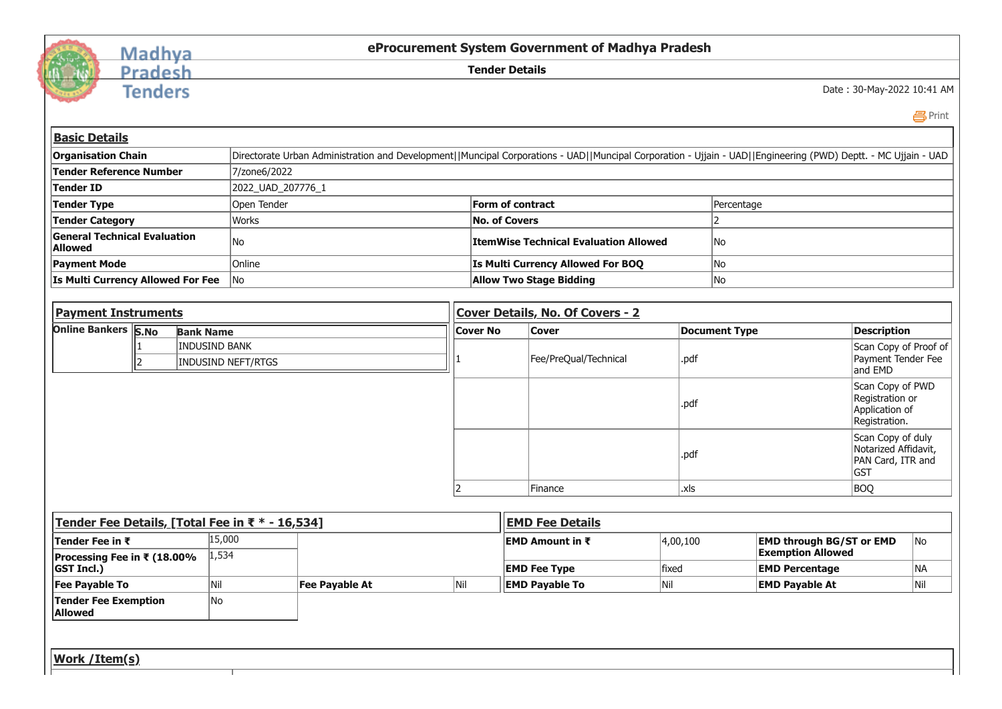

## Madhya<br>Pradesh

**Tenders** 

**eProcurement System Government of Madhya Pradesh**

**Tender Details**

Date : 30-May-2022 10:41 AM

 [Print](javascript:void(0);)

| <b>Organisation Chain</b>                             |                                                 |                      | Directorate Urban Administration and Development  Muncipal Corporations - UAD  Muncipal Corporation - Ujjain - UAD  Engineering (PWD) Deptt. - MC Ujjain - UAD |                 |                 |                                              |                                                             |                              |                                                                       |                                                                            |  |  |  |
|-------------------------------------------------------|-------------------------------------------------|----------------------|----------------------------------------------------------------------------------------------------------------------------------------------------------------|-----------------|-----------------|----------------------------------------------|-------------------------------------------------------------|------------------------------|-----------------------------------------------------------------------|----------------------------------------------------------------------------|--|--|--|
| <b>Tender Reference Number</b>                        |                                                 |                      | 7/zone6/2022                                                                                                                                                   |                 |                 |                                              |                                                             |                              |                                                                       |                                                                            |  |  |  |
| <b>Tender ID</b>                                      |                                                 |                      | 2022_UAD_207776_1                                                                                                                                              |                 |                 |                                              |                                                             |                              |                                                                       |                                                                            |  |  |  |
| Tender Type                                           |                                                 |                      | Open Tender<br>Form of contract                                                                                                                                |                 |                 |                                              |                                                             |                              |                                                                       |                                                                            |  |  |  |
| <b>Tender Category</b>                                |                                                 | <b>Works</b>         |                                                                                                                                                                |                 |                 | <b>No. of Covers</b>                         |                                                             | Percentage<br>$\overline{2}$ |                                                                       |                                                                            |  |  |  |
| <b>General Technical Evaluation</b><br><b>Allowed</b> |                                                 | No                   |                                                                                                                                                                |                 |                 | <b>ItemWise Technical Evaluation Allowed</b> |                                                             | No                           |                                                                       |                                                                            |  |  |  |
| <b>Payment Mode</b>                                   |                                                 | Online               |                                                                                                                                                                |                 |                 | <b>Is Multi Currency Allowed For BOQ</b>     |                                                             | No                           |                                                                       |                                                                            |  |  |  |
| Is Multi Currency Allowed For Fee                     |                                                 | No                   |                                                                                                                                                                |                 |                 | <b>Allow Two Stage Bidding</b>               |                                                             | No                           |                                                                       |                                                                            |  |  |  |
|                                                       |                                                 |                      |                                                                                                                                                                |                 |                 |                                              |                                                             |                              |                                                                       |                                                                            |  |  |  |
| <b>Payment Instruments</b>                            |                                                 |                      | Cover Details, No. Of Covers - 2                                                                                                                               |                 |                 |                                              |                                                             |                              |                                                                       |                                                                            |  |  |  |
| <b>Online Bankers S.No</b>                            | <b>Bank Name</b>                                |                      |                                                                                                                                                                |                 | <b>Cover No</b> | <b>Cover</b>                                 |                                                             | <b>Document Type</b>         |                                                                       | <b>Description</b>                                                         |  |  |  |
|                                                       | $\overline{2}$                                  | <b>INDUSIND BANK</b> | <b>INDUSIND NEFT/RTGS</b>                                                                                                                                      |                 |                 | Fee/PreQual/Technical                        | .pdf                                                        |                              |                                                                       | Scan Copy of Proof of<br>Payment Tender Fee<br>and EMD<br>Scan Copy of PWD |  |  |  |
|                                                       |                                                 |                      |                                                                                                                                                                |                 |                 |                                              |                                                             |                              |                                                                       |                                                                            |  |  |  |
|                                                       |                                                 |                      |                                                                                                                                                                |                 |                 |                                              | .pdf                                                        |                              | Registration or<br>Application of<br>Registration.                    |                                                                            |  |  |  |
|                                                       |                                                 |                      |                                                                                                                                                                |                 |                 |                                              | .pdf                                                        |                              | Scan Copy of duly<br>Notarized Affidavit,<br>PAN Card, ITR and<br>GST |                                                                            |  |  |  |
|                                                       |                                                 |                      |                                                                                                                                                                |                 | Finance         |                                              | .xls                                                        |                              |                                                                       | <b>BOQ</b>                                                                 |  |  |  |
|                                                       |                                                 |                      |                                                                                                                                                                |                 |                 |                                              |                                                             |                              |                                                                       |                                                                            |  |  |  |
|                                                       | Tender Fee Details, [Total Fee in ₹ * - 16,534] |                      |                                                                                                                                                                |                 |                 | <b>EMD Fee Details</b>                       |                                                             |                              |                                                                       |                                                                            |  |  |  |
| Tender Fee in ₹                                       | 15,000<br>1,534                                 |                      |                                                                                                                                                                | EMD Amount in ₹ |                 | 4,00,100                                     | <b>EMD through BG/ST or EMD</b><br><b>Exemption Allowed</b> |                              | No                                                                    |                                                                            |  |  |  |
| Processing Fee in ₹ (18.00%<br><b>GST Incl.)</b>      |                                                 |                      |                                                                                                                                                                |                 |                 | <b>EMD Fee Type</b>                          | fixed                                                       | <b>EMD Percentage</b>        |                                                                       | NA                                                                         |  |  |  |
| <b>Fee Payable To</b>                                 |                                                 | Nil                  | <b>Fee Payable At</b>                                                                                                                                          | Nil             |                 | <b>EMD Payable To</b>                        | Nil                                                         | <b>EMD Payable At</b>        |                                                                       | <b>Nil</b>                                                                 |  |  |  |
| <b>Tender Fee Exemption</b><br><b>Allowed</b>         |                                                 | No                   |                                                                                                                                                                |                 |                 |                                              |                                                             |                              |                                                                       |                                                                            |  |  |  |
|                                                       |                                                 |                      |                                                                                                                                                                |                 |                 |                                              |                                                             |                              |                                                                       |                                                                            |  |  |  |